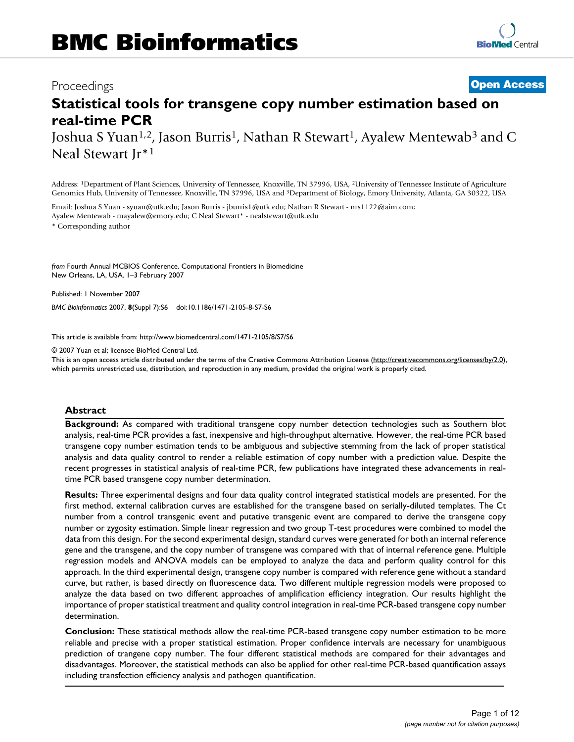## Proceedings **[Open Access](http://www.biomedcentral.com/info/about/charter/)**

# **Statistical tools for transgene copy number estimation based on real-time PCR**

Joshua S Yuan<sup>1,2</sup>, Jason Burris<sup>1</sup>, Nathan R Stewart<sup>1</sup>, Ayalew Mentewab<sup>3</sup> and C Neal Stewart Jr\*1

Address: 1Department of Plant Sciences, University of Tennessee, Knoxville, TN 37996, USA, 2University of Tennessee Institute of Agriculture Genomics Hub, University of Tennessee, Knoxville, TN 37996, USA and 3Department of Biology, Emory University, Atlanta, GA 30322, USA

Email: Joshua S Yuan - syuan@utk.edu; Jason Burris - jburris1@utk.edu; Nathan R Stewart - nrs1122@aim.com; Ayalew Mentewab - mayalew@emory.edu; C Neal Stewart\* - nealstewart@utk.edu

\* Corresponding author

*from* Fourth Annual MCBIOS Conference. Computational Frontiers in Biomedicine New Orleans, LA, USA. 1–3 February 2007

Published: 1 November 2007

*BMC Bioinformatics* 2007, **8**(Suppl 7):S6 doi:10.1186/1471-2105-8-S7-S6

[This article is available from: http://www.biomedcentral.com/1471-2105/8/S7/S6](http://www.biomedcentral.com/1471-2105/8/S7/S6)

© 2007 Yuan et al; licensee BioMed Central Ltd.

This is an open access article distributed under the terms of the Creative Commons Attribution License ([http://creativecommons.org/licenses/by/2.0\)](http://creativecommons.org/licenses/by/2.0), which permits unrestricted use, distribution, and reproduction in any medium, provided the original work is properly cited.

#### **Abstract**

**Background:** As compared with traditional transgene copy number detection technologies such as Southern blot analysis, real-time PCR provides a fast, inexpensive and high-throughput alternative. However, the real-time PCR based transgene copy number estimation tends to be ambiguous and subjective stemming from the lack of proper statistical analysis and data quality control to render a reliable estimation of copy number with a prediction value. Despite the recent progresses in statistical analysis of real-time PCR, few publications have integrated these advancements in realtime PCR based transgene copy number determination.

**Results:** Three experimental designs and four data quality control integrated statistical models are presented. For the first method, external calibration curves are established for the transgene based on serially-diluted templates. The Ct number from a control transgenic event and putative transgenic event are compared to derive the transgene copy number or zygosity estimation. Simple linear regression and two group T-test procedures were combined to model the data from this design. For the second experimental design, standard curves were generated for both an internal reference gene and the transgene, and the copy number of transgene was compared with that of internal reference gene. Multiple regression models and ANOVA models can be employed to analyze the data and perform quality control for this approach. In the third experimental design, transgene copy number is compared with reference gene without a standard curve, but rather, is based directly on fluorescence data. Two different multiple regression models were proposed to analyze the data based on two different approaches of amplification efficiency integration. Our results highlight the importance of proper statistical treatment and quality control integration in real-time PCR-based transgene copy number determination.

**Conclusion:** These statistical methods allow the real-time PCR-based transgene copy number estimation to be more reliable and precise with a proper statistical estimation. Proper confidence intervals are necessary for unambiguous prediction of trangene copy number. The four different statistical methods are compared for their advantages and disadvantages. Moreover, the statistical methods can also be applied for other real-time PCR-based quantification assays including transfection efficiency analysis and pathogen quantification.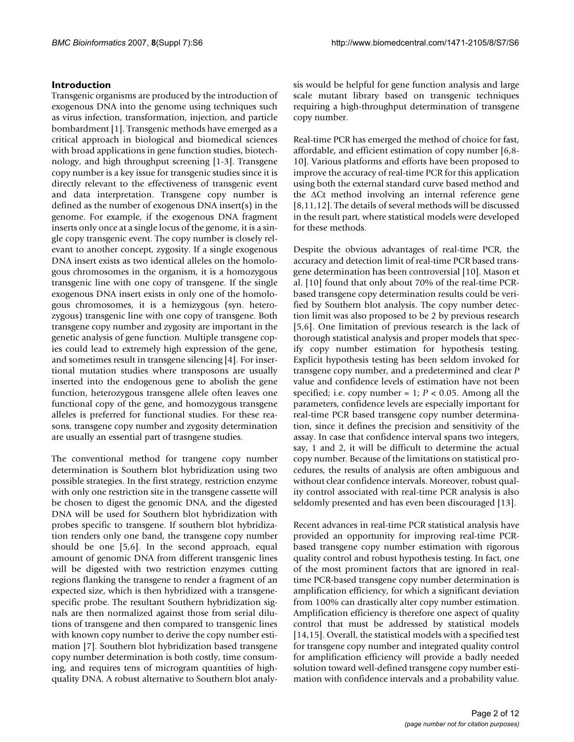#### **Introduction**

Transgenic organisms are produced by the introduction of exogenous DNA into the genome using techniques such as virus infection, transformation, injection, and particle bombardment [1]. Transgenic methods have emerged as a critical approach in biological and biomedical sciences with broad applications in gene function studies, biotechnology, and high throughput screening [1-3]. Transgene copy number is a key issue for transgenic studies since it is directly relevant to the effectiveness of transgenic event and data interpretation. Transgene copy number is defined as the number of exogenous DNA insert(s) in the genome. For example, if the exogenous DNA fragment inserts only once at a single locus of the genome, it is a single copy transgenic event. The copy number is closely relevant to another concept, zygosity. If a single exogenous DNA insert exists as two identical alleles on the homologous chromosomes in the organism, it is a homozygous transgenic line with one copy of transgene. If the single exogenous DNA insert exists in only one of the homologous chromosomes, it is a hemizygous (syn. heterozygous) transgenic line with one copy of transgene. Both transgene copy number and zygosity are important in the genetic analysis of gene function. Multiple transgene copies could lead to extremely high expression of the gene, and sometimes result in transgene silencing [4]. For insertional mutation studies where transposons are usually inserted into the endogenous gene to abolish the gene function, heterozygous transgene allele often leaves one functional copy of the gene, and homozygous transgene alleles is preferred for functional studies. For these reasons, transgene copy number and zygosity determination are usually an essential part of trasngene studies.

The conventional method for trangene copy number determination is Southern blot hybridization using two possible strategies. In the first strategy, restriction enzyme with only one restriction site in the transgene cassette will be chosen to digest the genomic DNA, and the digested DNA will be used for Southern blot hybridization with probes specific to transgene. If southern blot hybridization renders only one band, the transgene copy number should be one [5,6]. In the second approach, equal amount of genomic DNA from different transgenic lines will be digested with two restriction enzymes cutting regions flanking the transgene to render a fragment of an expected size, which is then hybridized with a transgenespecific probe. The resultant Southern hybridization signals are then normalized against those from serial dilutions of transgene and then compared to transgenic lines with known copy number to derive the copy number estimation [7]. Southern blot hybridization based transgene copy number determination is both costly, time consuming, and requires tens of microgram quantities of highquality DNA. A robust alternative to Southern blot analysis would be helpful for gene function analysis and large scale mutant library based on transgenic techniques requiring a high-throughput determination of transgene copy number.

Real-time PCR has emerged the method of choice for fast, affordable, and efficient estimation of copy number [6,8- 10]. Various platforms and efforts have been proposed to improve the accuracy of real-time PCR for this application using both the external standard curve based method and the ΔCt method involving an internal reference gene [8,11,12]. The details of several methods will be discussed in the result part, where statistical models were developed for these methods.

Despite the obvious advantages of real-time PCR, the accuracy and detection limit of real-time PCR based transgene determination has been controversial [10]. Mason et al. [10] found that only about 70% of the real-time PCRbased transgene copy determination results could be verified by Southern blot analysis. The copy number detection limit was also proposed to be 2 by previous research [5,6]. One limitation of previous research is the lack of thorough statistical analysis and proper models that specify copy number estimation for hypothesis testing. Explicit hypothesis testing has been seldom invoked for transgene copy number, and a predetermined and clear *P* value and confidence levels of estimation have not been specified; i.e. copy number =  $1; P < 0.05$ . Among all the parameters, confidence levels are especially important for real-time PCR based transgene copy number determination, since it defines the precision and sensitivity of the assay. In case that confidence interval spans two integers, say, 1 and 2, it will be difficult to determine the actual copy number. Because of the limitations on statistical procedures, the results of analysis are often ambiguous and without clear confidence intervals. Moreover, robust quality control associated with real-time PCR analysis is also seldomly presented and has even been discouraged [13].

Recent advances in real-time PCR statistical analysis have provided an opportunity for improving real-time PCRbased transgene copy number estimation with rigorous quality control and robust hypothesis testing. In fact, one of the most prominent factors that are ignored in realtime PCR-based transgene copy number determination is amplification efficiency, for which a significant deviation from 100% can drastically alter copy number estimation. Amplification efficiency is therefore one aspect of quality control that must be addressed by statistical models [14,15]. Overall, the statistical models with a specified test for transgene copy number and integrated quality control for amplification efficiency will provide a badly needed solution toward well-defined transgene copy number estimation with confidence intervals and a probability value.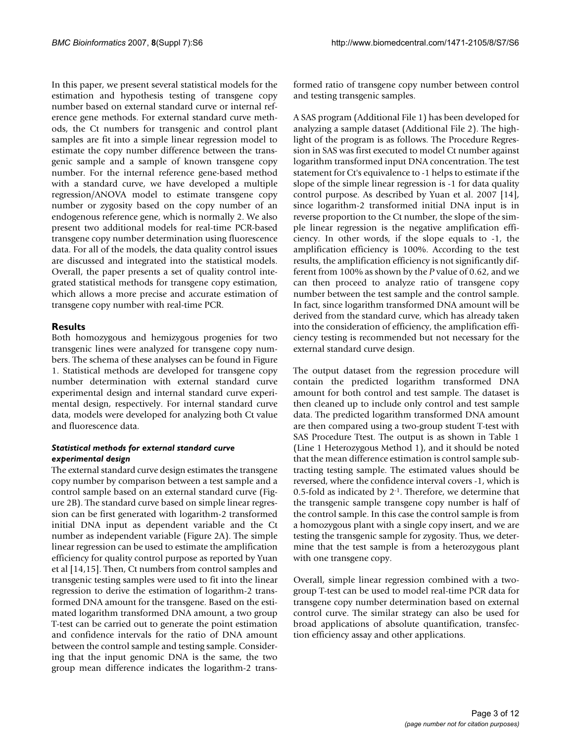In this paper, we present several statistical models for the estimation and hypothesis testing of transgene copy number based on external standard curve or internal reference gene methods. For external standard curve methods, the Ct numbers for transgenic and control plant samples are fit into a simple linear regression model to estimate the copy number difference between the transgenic sample and a sample of known transgene copy number. For the internal reference gene-based method with a standard curve, we have developed a multiple regression/ANOVA model to estimate transgene copy number or zygosity based on the copy number of an endogenous reference gene, which is normally 2. We also present two additional models for real-time PCR-based transgene copy number determination using fluorescence data. For all of the models, the data quality control issues are discussed and integrated into the statistical models. Overall, the paper presents a set of quality control integrated statistical methods for transgene copy estimation, which allows a more precise and accurate estimation of transgene copy number with real-time PCR.

#### **Results**

Both homozygous and hemizygous progenies for two transgenic lines were analyzed for transgene copy numbers. The schema of these analyses can be found in Figure 1. Statistical methods are developed for transgene copy number determination with external standard curve experimental design and internal standard curve experimental design, respectively. For internal standard curve data, models were developed for analyzing both Ct value and fluorescence data.

#### *Statistical methods for external standard curve experimental design*

The external standard curve design estimates the transgene copy number by comparison between a test sample and a control sample based on an external standard curve (Figure 2B). The standard curve based on simple linear regression can be first generated with logarithm-2 transformed initial DNA input as dependent variable and the Ct number as independent variable (Figure 2A). The simple linear regression can be used to estimate the amplification efficiency for quality control purpose as reported by Yuan et al [14,15]. Then, Ct numbers from control samples and transgenic testing samples were used to fit into the linear regression to derive the estimation of logarithm-2 transformed DNA amount for the transgene. Based on the estimated logarithm transformed DNA amount, a two group T-test can be carried out to generate the point estimation and confidence intervals for the ratio of DNA amount between the control sample and testing sample. Considering that the input genomic DNA is the same, the two group mean difference indicates the logarithm-2 transformed ratio of transgene copy number between control and testing transgenic samples.

A SAS program (Additional File 1) has been developed for analyzing a sample dataset (Additional File 2). The highlight of the program is as follows. The Procedure Regression in SAS was first executed to model Ct number against logarithm transformed input DNA concentration. The test statement for Ct's equivalence to -1 helps to estimate if the slope of the simple linear regression is -1 for data quality control purpose. As described by Yuan et al. 2007 [14], since logarithm-2 transformed initial DNA input is in reverse proportion to the Ct number, the slope of the simple linear regression is the negative amplification efficiency. In other words, if the slope equals to -1, the amplification efficiency is 100%. According to the test results, the amplification efficiency is not significantly different from 100% as shown by the *P* value of 0.62, and we can then proceed to analyze ratio of transgene copy number between the test sample and the control sample. In fact, since logarithm transformed DNA amount will be derived from the standard curve, which has already taken into the consideration of efficiency, the amplification efficiency testing is recommended but not necessary for the external standard curve design.

The output dataset from the regression procedure will contain the predicted logarithm transformed DNA amount for both control and test sample. The dataset is then cleaned up to include only control and test sample data. The predicted logarithm transformed DNA amount are then compared using a two-group student T-test with SAS Procedure Ttest. The output is as shown in Table 1 (Line 1 Heterozygous Method 1), and it should be noted that the mean difference estimation is control sample subtracting testing sample. The estimated values should be reversed, where the confidence interval covers -1, which is 0.5-fold as indicated by  $2^{-1}$ . Therefore, we determine that the transgenic sample transgene copy number is half of the control sample. In this case the control sample is from a homozygous plant with a single copy insert, and we are testing the transgenic sample for zygosity. Thus, we determine that the test sample is from a heterozygous plant with one transgene copy.

Overall, simple linear regression combined with a twogroup T-test can be used to model real-time PCR data for transgene copy number determination based on external control curve. The similar strategy can also be used for broad applications of absolute quantification, transfection efficiency assay and other applications.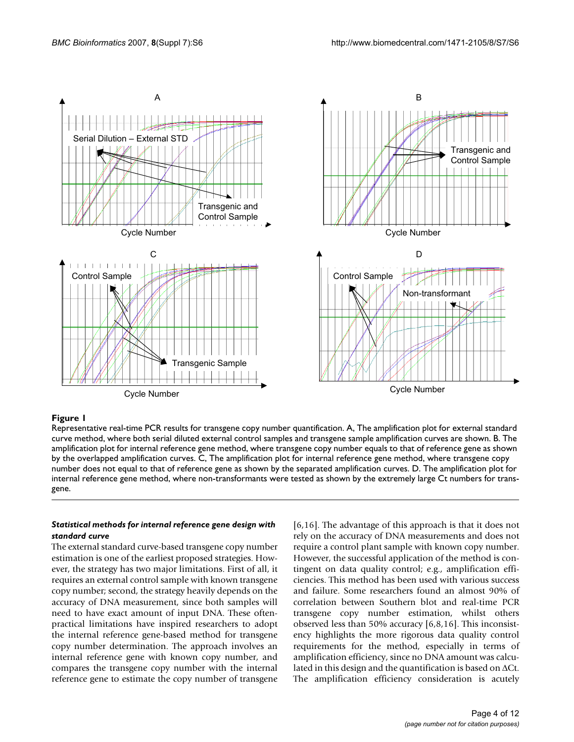

#### Representative real-time PCR results for transgene copy number quantification **Figure 1**

Representative real-time PCR results for transgene copy number quantification. A, The amplification plot for external standard curve method, where both serial diluted external control samples and transgene sample amplification curves are shown. B. The amplification plot for internal reference gene method, where transgene copy number equals to that of reference gene as shown by the overlapped amplification curves. C, The amplification plot for internal reference gene method, where transgene copy number does not equal to that of reference gene as shown by the separated amplification curves. D. The amplification plot for internal reference gene method, where non-transformants were tested as shown by the extremely large Ct numbers for transgene.

#### *Statistical methods for internal reference gene design with standard curve*

The external standard curve-based transgene copy number estimation is one of the earliest proposed strategies. However, the strategy has two major limitations. First of all, it requires an external control sample with known transgene copy number; second, the strategy heavily depends on the accuracy of DNA measurement, since both samples will need to have exact amount of input DNA. These oftenpractical limitations have inspired researchers to adopt the internal reference gene-based method for transgene copy number determination. The approach involves an internal reference gene with known copy number, and compares the transgene copy number with the internal reference gene to estimate the copy number of transgene [6,16]. The advantage of this approach is that it does not rely on the accuracy of DNA measurements and does not require a control plant sample with known copy number. However, the successful application of the method is contingent on data quality control; e.g., amplification efficiencies. This method has been used with various success and failure. Some researchers found an almost 90% of correlation between Southern blot and real-time PCR transgene copy number estimation, whilst others observed less than 50% accuracy [6,8,16]. This inconsistency highlights the more rigorous data quality control requirements for the method, especially in terms of amplification efficiency, since no DNA amount was calculated in this design and the quantification is based on ΔCt. The amplification efficiency consideration is acutely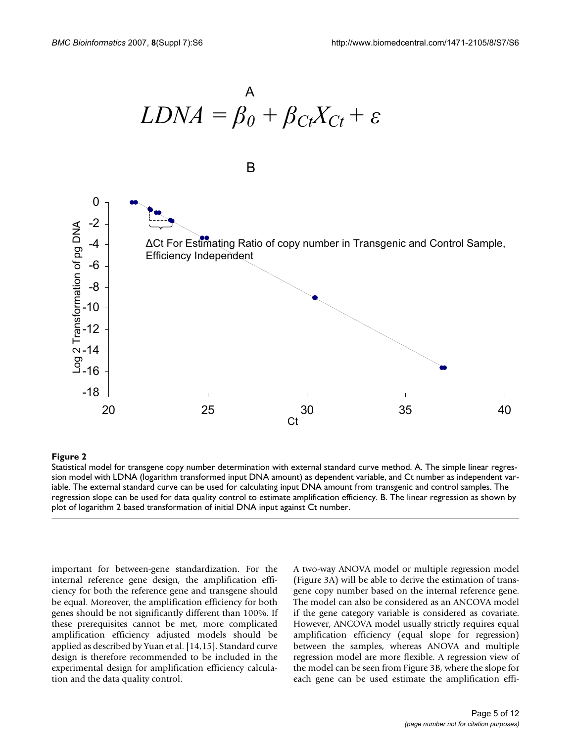



#### Statistical model for transgene copy number dete **Figure 2** rmination with external standard curve method

Statistical model for transgene copy number determination with external standard curve method. A. The simple linear regression model with LDNA (logarithm transformed input DNA amount) as dependent variable, and Ct number as independent variable. The external standard curve can be used for calculating input DNA amount from transgenic and control samples. The regression slope can be used for data quality control to estimate amplification efficiency. B. The linear regression as shown by plot of logarithm 2 based transformation of initial DNA input against Ct number.

important for between-gene standardization. For the internal reference gene design, the amplification efficiency for both the reference gene and transgene should be equal. Moreover, the amplification efficiency for both genes should be not significantly different than 100%. If these prerequisites cannot be met, more complicated amplification efficiency adjusted models should be applied as described by Yuan et al. [14,15]. Standard curve design is therefore recommended to be included in the experimental design for amplification efficiency calculation and the data quality control.

A two-way ANOVA model or multiple regression model (Figure 3A) will be able to derive the estimation of transgene copy number based on the internal reference gene. The model can also be considered as an ANCOVA model if the gene category variable is considered as covariate. However, ANCOVA model usually strictly requires equal amplification efficiency (equal slope for regression) between the samples, whereas ANOVA and multiple regression model are more flexible. A regression view of the model can be seen from Figure 3B, where the slope for each gene can be used estimate the amplification effi-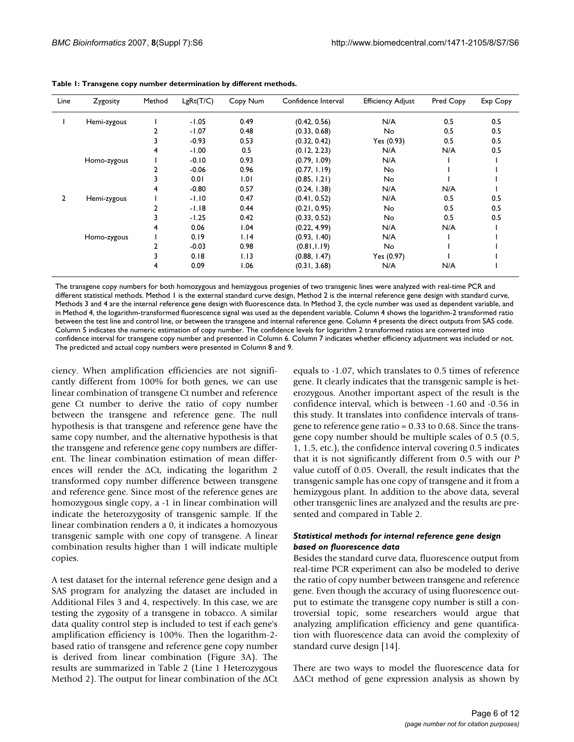| Line           | Zygosity    | Method       | LgRt(T/C) | Copy Num | Confidence Interval | <b>Efficiency Adjust</b> | Pred Copy | Exp Copy |
|----------------|-------------|--------------|-----------|----------|---------------------|--------------------------|-----------|----------|
|                | Hemi-zygous |              | $-1.05$   | 0.49     | (0.42, 0.56)        | N/A                      | 0.5       | 0.5      |
|                |             | 2            | $-1.07$   | 0.48     | (0.33, 0.68)        | No                       | 0.5       | 0.5      |
|                |             | 3            | $-0.93$   | 0.53     | (0.32, 0.42)        | Yes (0.93)               | 0.5       | 0.5      |
|                |             | 4            | $-1.00$   | 0.5      | (0.12, 2.23)        | N/A                      | N/A       | 0.5      |
|                | Homo-zygous |              | $-0.10$   | 0.93     | (0.79, 1.09)        | N/A                      |           |          |
|                |             | $\mathbf{2}$ | $-0.06$   | 0.96     | (0.77, 1.19)        | No                       |           |          |
|                |             | 3            | 0.01      | 1.01     | (0.85, 1.21)        | No                       |           |          |
|                |             | 4            | $-0.80$   | 0.57     | (0.24, 1.38)        | N/A                      | N/A       |          |
| $\overline{2}$ | Hemi-zygous |              | $-1.10$   | 0.47     | (0.41, 0.52)        | N/A                      | 0.5       | 0.5      |
|                |             | 2            | $-1.18$   | 0.44     | (0.21, 0.95)        | No                       | 0.5       | 0.5      |
|                |             | 3            | $-1.25$   | 0.42     | (0.33, 0.52)        | No                       | 0.5       | 0.5      |
|                |             | 4            | 0.06      | 1.04     | (0.22, 4.99)        | N/A                      | N/A       |          |
|                | Homo-zygous |              | 0.19      | 1.14     | (0.93, 1.40)        | N/A                      |           |          |
|                |             | 2            | $-0.03$   | 0.98     | (0.81, 1.19)        | No                       |           |          |
|                |             | 3            | 0.18      | 1.13     | (0.88, 1.47)        | Yes (0.97)               |           |          |
|                |             | 4            | 0.09      | 1.06     | (0.31, 3.68)        | N/A                      | N/A       |          |

**Table 1: Transgene copy number determination by different methods.**

The transgene copy numbers for both homozygous and hemizygous progenies of two transgenic lines were analyzed with real-time PCR and different statistical methods. Method 1 is the external standard curve design, Method 2 is the internal reference gene design with standard curve, Methods 3 and 4 are the internal reference gene design with fluorescence data. In Method 3, the cycle number was used as dependent variable, and in Method 4, the logarithm-transformed fluorescence signal was used as the dependent variable. Column 4 shows the logarithm-2 transformed ratio between the test line and control line, or between the transgene and internal reference gene. Column 4 presents the direct outputs from SAS code. Column 5 indicates the numeric estimation of copy number. The confidence levels for logarithm 2 transformed ratios are converted into confidence interval for transgene copy number and presented in Column 6. Column 7 indicates whether efficiency adjustment was included or not. The predicted and actual copy numbers were presented in Column 8 and 9.

ciency. When amplification efficiencies are not significantly different from 100% for both genes, we can use linear combination of transgene Ct number and reference gene Ct number to derive the ratio of copy number between the transgene and reference gene. The null hypothesis is that transgene and reference gene have the same copy number, and the alternative hypothesis is that the transgene and reference gene copy numbers are different. The linear combination estimation of mean differences will render the ΔCt, indicating the logarithm 2 transformed copy number difference between transgene and reference gene. Since most of the reference genes are homozygous single copy, a -1 in linear combination will indicate the heterozygosity of transgenic sample. If the linear combination renders a 0, it indicates a homozyous transgenic sample with one copy of transgene. A linear combination results higher than 1 will indicate multiple copies.

A test dataset for the internal reference gene design and a SAS program for analyzing the dataset are included in Additional Files 3 and 4, respectively. In this case, we are testing the zygosity of a transgene in tobacco. A similar data quality control step is included to test if each gene's amplification efficiency is 100%. Then the logarithm-2 based ratio of transgene and reference gene copy number is derived from linear combination (Figure 3A). The results are summarized in Table 2 (Line 1 Heterozygous Method 2). The output for linear combination of the ΔCt equals to -1.07, which translates to 0.5 times of reference gene. It clearly indicates that the transgenic sample is heterozygous. Another important aspect of the result is the confidence interval, which is between -1.60 and -0.56 in this study. It translates into confidence intervals of transgene to reference gene ratio = 0.33 to 0.68. Since the transgene copy number should be multiple scales of 0.5 (0.5, 1, 1.5, etc.), the confidence interval covering 0.5 indicates that it is not significantly different from 0.5 with our *P* value cutoff of 0.05. Overall, the result indicates that the transgenic sample has one copy of transgene and it from a hemizygous plant. In addition to the above data, several other transgenic lines are analyzed and the results are presented and compared in Table 2.

#### *Statistical methods for internal reference gene design based on fluorescence data*

Besides the standard curve data, fluorescence output from real-time PCR experiment can also be modeled to derive the ratio of copy number between transgene and reference gene. Even though the accuracy of using fluorescence output to estimate the transgene copy number is still a controversial topic, some researchers would argue that analyzing amplification efficiency and gene quantification with fluorescence data can avoid the complexity of standard curve design [14].

There are two ways to model the fluorescence data for ΔΔCt method of gene expression analysis as shown by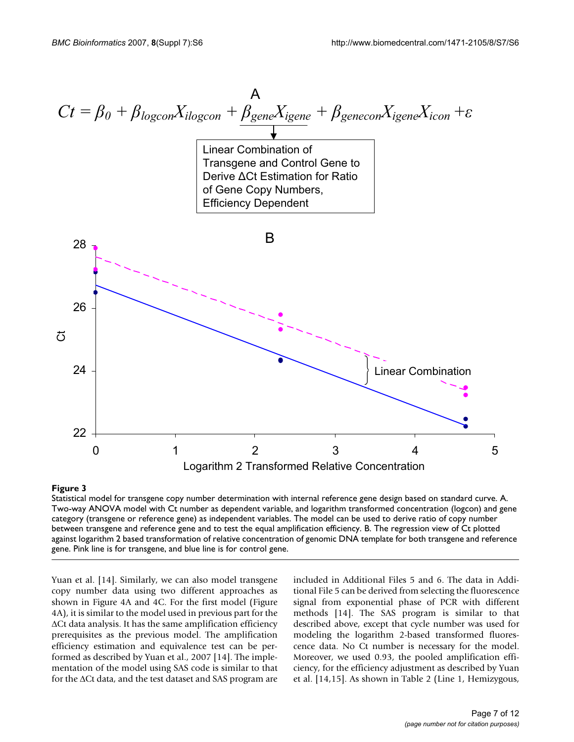

#### Statistical model for transgene copy number determination with **Figure 3** internal reference gene design based on standard curve

Statistical model for transgene copy number determination with internal reference gene design based on standard curve. A. Two-way ANOVA model with Ct number as dependent variable, and logarithm transformed concentration (logcon) and gene category (transgene or reference gene) as independent variables. The model can be used to derive ratio of copy number between transgene and reference gene and to test the equal amplification efficiency. B. The regression view of Ct plotted against logarithm 2 based transformation of relative concentration of genomic DNA template for both transgene and reference gene. Pink line is for transgene, and blue line is for control gene.

Yuan et al. [14]. Similarly, we can also model transgene copy number data using two different approaches as shown in Figure 4A and 4C. For the first model (Figure 4A), it is similar to the model used in previous part for the ΔCt data analysis. It has the same amplification efficiency prerequisites as the previous model. The amplification efficiency estimation and equivalence test can be performed as described by Yuan et al., 2007 [14]. The implementation of the model using SAS code is similar to that for the ΔCt data, and the test dataset and SAS program are included in Additional Files 5 and 6. The data in Additional File 5 can be derived from selecting the fluorescence signal from exponential phase of PCR with different methods [14]. The SAS program is similar to that described above, except that cycle number was used for modeling the logarithm 2-based transformed fluorescence data. No Ct number is necessary for the model. Moreover, we used 0.93, the pooled amplification efficiency, for the efficiency adjustment as described by Yuan et al. [14,15]. As shown in Table 2 (Line 1, Hemizygous,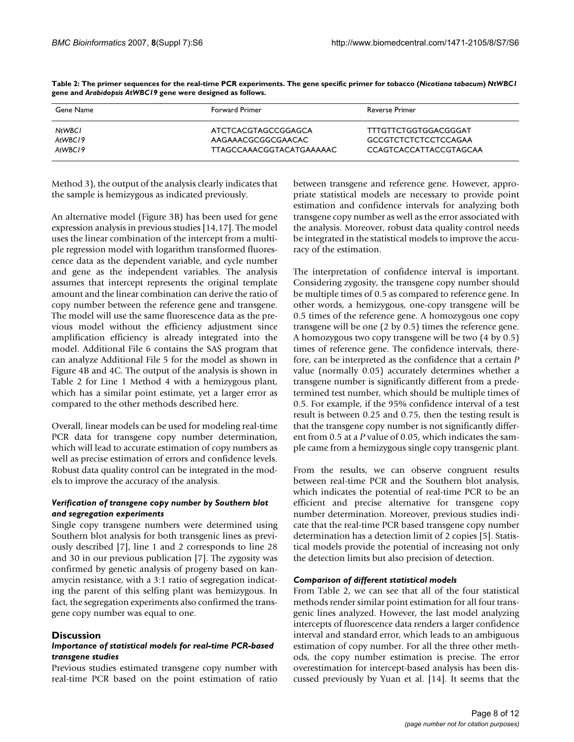| Gene Name | <b>Forward Primer</b>    | Reverse Primer              |
|-----------|--------------------------|-----------------------------|
| NtWBCI    | ATCTCACGTAGCCGGAGCA      | <b>TTTGTTCTGGTGGACGGGAT</b> |
| AtWBC19   | AAGAAACGCGGCGAACAC       | <b>GCCGTCTCTCTCCTCCAGAA</b> |
| AtWBC19   | TTAGCCAAACGGTACATGAAAAAC | CCAGTCACCATTACCGTAGCAA      |

**Table 2: The primer sequences for the real-time PCR experiments. The gene specific primer for tobacco (***Nicotiana tabacum***)** *NtWBC1*  **gene and** *Arabidopsis AtWBC19* **gene were designed as follows.**

Method 3), the output of the analysis clearly indicates that the sample is hemizygous as indicated previously.

An alternative model (Figure 3B) has been used for gene expression analysis in previous studies [14,17]. The model uses the linear combination of the intercept from a multiple regression model with logarithm transformed fluorescence data as the dependent variable, and cycle number and gene as the independent variables. The analysis assumes that intercept represents the original template amount and the linear combination can derive the ratio of copy number between the reference gene and transgene. The model will use the same fluorescence data as the previous model without the efficiency adjustment since amplification efficiency is already integrated into the model. Additional File 6 contains the SAS program that can analyze Additional File 5 for the model as shown in Figure 4B and 4C. The output of the analysis is shown in Table 2 for Line 1 Method 4 with a hemizygous plant, which has a similar point estimate, yet a larger error as compared to the other methods described here.

Overall, linear models can be used for modeling real-time PCR data for transgene copy number determination, which will lead to accurate estimation of copy numbers as well as precise estimation of errors and confidence levels. Robust data quality control can be integrated in the models to improve the accuracy of the analysis.

#### *Verification of transgene copy number by Southern blot and segregation experiments*

Single copy transgene numbers were determined using Southern blot analysis for both transgenic lines as previously described [7], line 1 and 2 corresponds to line 28 and 30 in our previous publication [7]. The zygosity was confirmed by genetic analysis of progeny based on kanamycin resistance, with a 3:1 ratio of segregation indicating the parent of this selfing plant was hemizygous. In fact, the segregation experiments also confirmed the transgene copy number was equal to one.

#### **Discussion**

#### *Importance of statistical models for real-time PCR-based transgene studies*

Previous studies estimated transgene copy number with real-time PCR based on the point estimation of ratio

between transgene and reference gene. However, appropriate statistical models are necessary to provide point estimation and confidence intervals for analyzing both transgene copy number as well as the error associated with the analysis. Moreover, robust data quality control needs be integrated in the statistical models to improve the accuracy of the estimation.

The interpretation of confidence interval is important. Considering zygosity, the transgene copy number should be multiple times of 0.5 as compared to reference gene. In other words, a hemizygous, one-copy transgene will be 0.5 times of the reference gene. A homozygous one copy transgene will be one (2 by 0.5) times the reference gene. A homozygous two copy transgene will be two (4 by 0.5) times of reference gene. The confidence intervals, therefore, can be interpreted as the confidence that a certain *P* value (normally 0.05) accurately determines whether a transgene number is significantly different from a predetermined test number, which should be multiple times of 0.5. For example, if the 95% confidence interval of a test result is between 0.25 and 0.75, then the testing result is that the transgene copy number is not significantly different from 0.5 at a *P* value of 0.05, which indicates the sample came from a hemizygous single copy transgenic plant.

From the results, we can observe congruent results between real-time PCR and the Southern blot analysis, which indicates the potential of real-time PCR to be an efficient and precise alternative for transgene copy number determination. Moreover, previous studies indicate that the real-time PCR based transgene copy number determination has a detection limit of 2 copies [5]. Statistical models provide the potential of increasing not only the detection limits but also precision of detection.

#### *Comparison of different statistical models*

From Table 2, we can see that all of the four statistical methods render similar point estimation for all four transgenic lines analyzed. However, the last model analyzing intercepts of fluorescence data renders a larger confidence interval and standard error, which leads to an ambiguous estimation of copy number. For all the three other methods, the copy number estimation is precise. The error overestimation for intercept-based analysis has been discussed previously by Yuan et al. [14]. It seems that the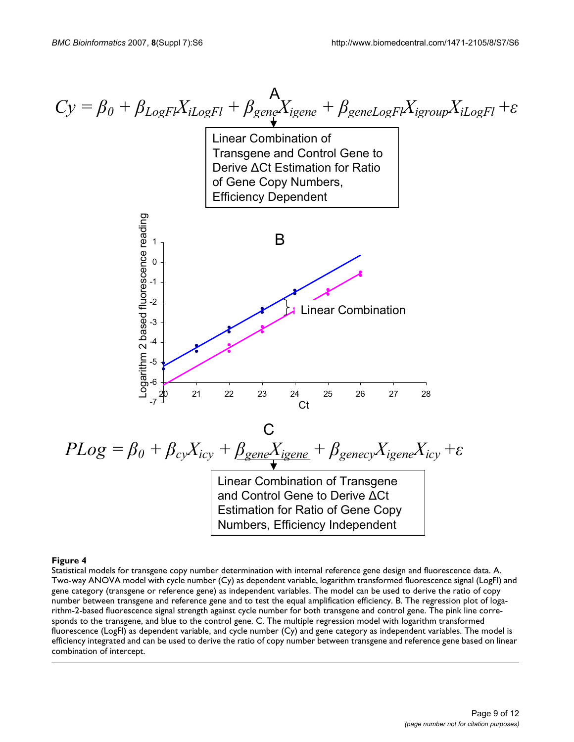

#### Statistical models for transgene copy nu **Figure 4** mber determination with internal reference gene design and fluorescence data

Statistical models for transgene copy number determination with internal reference gene design and fluorescence data. A. Two-way ANOVA model with cycle number (Cy) as dependent variable, logarithm transformed fluorescence signal (LogFl) and gene category (transgene or reference gene) as independent variables. The model can be used to derive the ratio of copy number between transgene and reference gene and to test the equal amplification efficiency. B. The regression plot of logarithm-2-based fluorescence signal strength against cycle number for both transgene and control gene. The pink line corresponds to the transgene, and blue to the control gene. C. The multiple regression model with logarithm transformed fluorescence (LogFl) as dependent variable, and cycle number (Cy) and gene category as independent variables. The model is efficiency integrated and can be used to derive the ratio of copy number between transgene and reference gene based on linear combination of intercept.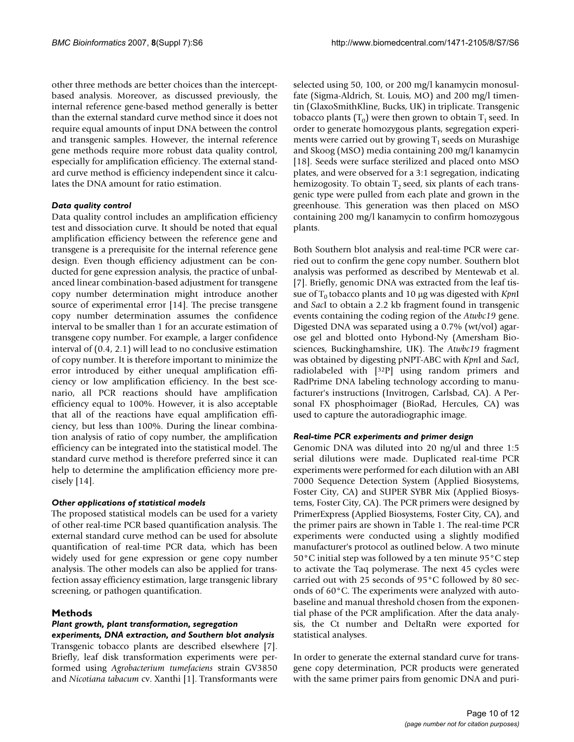other three methods are better choices than the interceptbased analysis. Moreover, as discussed previously, the internal reference gene-based method generally is better than the external standard curve method since it does not require equal amounts of input DNA between the control and transgenic samples. However, the internal reference gene methods require more robust data quality control, especially for amplification efficiency. The external standard curve method is efficiency independent since it calculates the DNA amount for ratio estimation.

#### *Data quality control*

Data quality control includes an amplification efficiency test and dissociation curve. It should be noted that equal amplification efficiency between the reference gene and transgene is a prerequisite for the internal reference gene design. Even though efficiency adjustment can be conducted for gene expression analysis, the practice of unbalanced linear combination-based adjustment for transgene copy number determination might introduce another source of experimental error [14]. The precise transgene copy number determination assumes the confidence interval to be smaller than 1 for an accurate estimation of transgene copy number. For example, a larger confidence interval of (0.4, 2.1) will lead to no conclusive estimation of copy number. It is therefore important to minimize the error introduced by either unequal amplification efficiency or low amplification efficiency. In the best scenario, all PCR reactions should have amplification efficiency equal to 100%. However, it is also acceptable that all of the reactions have equal amplification efficiency, but less than 100%. During the linear combination analysis of ratio of copy number, the amplification efficiency can be integrated into the statistical model. The standard curve method is therefore preferred since it can help to determine the amplification efficiency more precisely [14].

#### *Other applications of statistical models*

The proposed statistical models can be used for a variety of other real-time PCR based quantification analysis. The external standard curve method can be used for absolute quantification of real-time PCR data, which has been widely used for gene expression or gene copy number analysis. The other models can also be applied for transfection assay efficiency estimation, large transgenic library screening, or pathogen quantification.

#### **Methods**

#### *Plant growth, plant transformation, segregation experiments, DNA extraction, and Southern blot analysis*

Transgenic tobacco plants are described elsewhere [7]. Briefly, leaf disk transformation experiments were performed using *Agrobacterium tumefaciens* strain GV3850 and *Nicotiana tabacum* cv. Xanthi [1]. Transformants were selected using 50, 100, or 200 mg/l kanamycin monosulfate (Sigma-Aldrich, St. Louis, MO) and 200 mg/l timentin (GlaxoSmithKline, Bucks, UK) in triplicate. Transgenic tobacco plants  $(T_0)$  were then grown to obtain  $T_1$  seed. In order to generate homozygous plants, segregation experiments were carried out by growing  $T_1$  seeds on Murashige and Skoog (MSO) media containing 200 mg/l kanamycin [18]. Seeds were surface sterilized and placed onto MSO plates, and were observed for a 3:1 segregation, indicating hemizogosity. To obtain  $T<sub>2</sub>$  seed, six plants of each transgenic type were pulled from each plate and grown in the greenhouse. This generation was then placed on MSO containing 200 mg/l kanamycin to confirm homozygous plants.

Both Southern blot analysis and real-time PCR were carried out to confirm the gene copy number. Southern blot analysis was performed as described by Mentewab et al. [7]. Briefly, genomic DNA was extracted from the leaf tissue of T0 tobacco plants and 10 μg was digested with *Kpn*I and *Sac*I to obtain a 2.2 kb fragment found in transgenic events containing the coding region of the *Atwbc19* gene. Digested DNA was separated using a 0.7% (wt/vol) agarose gel and blotted onto Hybond-Ny (Amersham Biosciences, Buckinghamshire, UK). The *Atwbc19* fragment was obtained by digesting pNPT-ABC with *Kpn*I and *Sac*I, radiolabeled with [32P] using random primers and RadPrime DNA labeling technology according to manufacturer's instructions (Invitrogen, Carlsbad, CA). A Personal FX phosphoimager (BioRad, Hercules, CA) was used to capture the autoradiographic image.

#### *Real-time PCR experiments and primer design*

Genomic DNA was diluted into 20 ng/ul and three 1:5 serial dilutions were made. Duplicated real-time PCR experiments were performed for each dilution with an ABI 7000 Sequence Detection System (Applied Biosystems, Foster City, CA) and SUPER SYBR Mix (Applied Biosystems, Foster City, CA). The PCR primers were designed by PrimerExpress (Applied Biosystems, Foster City, CA), and the primer pairs are shown in Table 1. The real-time PCR experiments were conducted using a slightly modified manufacturer's protocol as outlined below. A two minute 50°C initial step was followed by a ten minute 95°C step to activate the Taq polymerase. The next 45 cycles were carried out with 25 seconds of 95°C followed by 80 seconds of 60°C. The experiments were analyzed with autobaseline and manual threshold chosen from the exponential phase of the PCR amplification. After the data analysis, the Ct number and DeltaRn were exported for statistical analyses.

In order to generate the external standard curve for transgene copy determination, PCR products were generated with the same primer pairs from genomic DNA and puri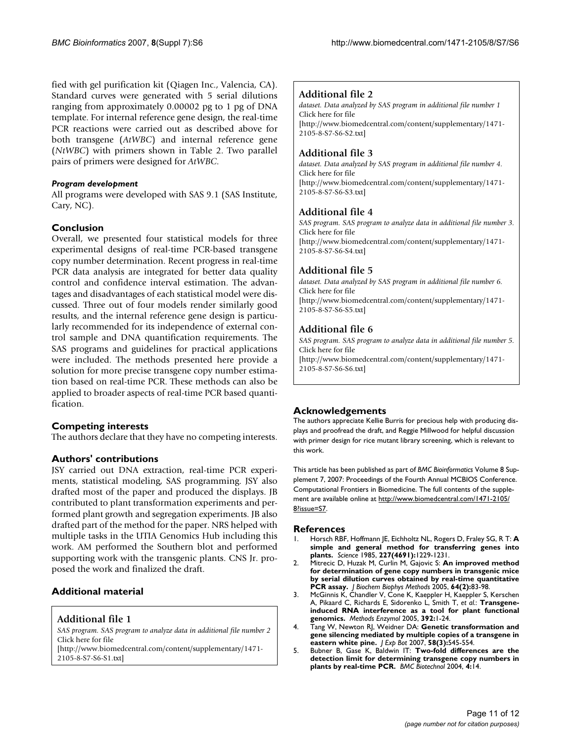fied with gel purification kit (Qiagen Inc., Valencia, CA). Standard curves were generated with 5 serial dilutions ranging from approximately 0.00002 pg to 1 pg of DNA template. For internal reference gene design, the real-time PCR reactions were carried out as described above for both transgene (*AtWBC*) and internal reference gene (*NtWBC*) with primers shown in Table 2. Two parallel pairs of primers were designed for *AtWBC*.

#### *Program development*

All programs were developed with SAS 9.1 (SAS Institute, Cary, NC).

#### **Conclusion**

Overall, we presented four statistical models for three experimental designs of real-time PCR-based transgene copy number determination. Recent progress in real-time PCR data analysis are integrated for better data quality control and confidence interval estimation. The advantages and disadvantages of each statistical model were discussed. Three out of four models render similarly good results, and the internal reference gene design is particularly recommended for its independence of external control sample and DNA quantification requirements. The SAS programs and guidelines for practical applications were included. The methods presented here provide a solution for more precise transgene copy number estimation based on real-time PCR. These methods can also be applied to broader aspects of real-time PCR based quantification.

#### **Competing interests**

The authors declare that they have no competing interests.

#### **Authors' contributions**

JSY carried out DNA extraction, real-time PCR experiments, statistical modeling, SAS programming. JSY also drafted most of the paper and produced the displays. JB contributed to plant transformation experiments and performed plant growth and segregation experiments. JB also drafted part of the method for the paper. NRS helped with multiple tasks in the UTIA Genomics Hub including this work. AM performed the Southern blot and performed supporting work with the transgenic plants. CNS Jr. proposed the work and finalized the draft.

#### **Additional material**

#### **Additional file 1**

*SAS program. SAS program to analyze data in additional file number 2* Click here for file

[\[http://www.biomedcentral.com/content/supplementary/1471-](http://www.biomedcentral.com/content/supplementary/1471-2105-8-S7-S6-S1.txt) 2105-8-S7-S6-S1.txt]

#### **Additional file 2**

*dataset. Data analyzed by SAS program in additional file number 1* Click here for file [\[http://www.biomedcentral.com/content/supplementary/1471-](http://www.biomedcentral.com/content/supplementary/1471-2105-8-S7-S6-S2.txt) 2105-8-S7-S6-S2.txt]

#### **Additional file 3**

*dataset. Data analyzed by SAS program in additional file number 4.* Click here for file [\[http://www.biomedcentral.com/content/supplementary/1471-](http://www.biomedcentral.com/content/supplementary/1471-2105-8-S7-S6-S3.txt) 2105-8-S7-S6-S3.txt]

### **Additional file 4**

*SAS program. SAS program to analyze data in additional file number 3.* Click here for file [\[http://www.biomedcentral.com/content/supplementary/1471-](http://www.biomedcentral.com/content/supplementary/1471-2105-8-S7-S6-S4.txt) 2105-8-S7-S6-S4.txt]

### **Additional file 5**

*dataset. Data analyzed by SAS program in additional file number 6.* Click here for file [\[http://www.biomedcentral.com/content/supplementary/1471-](http://www.biomedcentral.com/content/supplementary/1471-2105-8-S7-S6-S5.txt) 2105-8-S7-S6-S5.txt]

### **Additional file 6**

*SAS program. SAS program to analyze data in additional file number 5.* Click here for file [\[http://www.biomedcentral.com/content/supplementary/1471-](http://www.biomedcentral.com/content/supplementary/1471-2105-8-S7-S6-S6.txt) 2105-8-S7-S6-S6.txt]

#### **Acknowledgements**

The authors appreciate Kellie Burris for precious help with producing displays and proofread the draft, and Reggie Millwood for helpful discussion with primer design for rice mutant library screening, which is relevant to this work.

This article has been published as part of *BMC Bioinformatics* Volume 8 Supplement 7, 2007: Proceedings of the Fourth Annual MCBIOS Conference. Computational Frontiers in Biomedicine. The full contents of the supplement are available online at [http://www.biomedcentral.com/1471-2105/](http://www.biomedcentral.com/1471-2105/8?issue=S7) [8?issue=S7.](http://www.biomedcentral.com/1471-2105/8?issue=S7)

#### **References**

- 1. Horsch RBF, Hoffmann JE, Eichholtz NL, Rogers D, Fraley SG, R T: **[A](http://www.ncbi.nlm.nih.gov/entrez/query.fcgi?cmd=Retrieve&db=PubMed&dopt=Abstract&list_uids=17757866) [simple and general method for transferring genes into](http://www.ncbi.nlm.nih.gov/entrez/query.fcgi?cmd=Retrieve&db=PubMed&dopt=Abstract&list_uids=17757866) [plants.](http://www.ncbi.nlm.nih.gov/entrez/query.fcgi?cmd=Retrieve&db=PubMed&dopt=Abstract&list_uids=17757866)** *Science* 1985, **227(4691):**1229-1231.
- 2. Mitrecic D, Huzak M, Curlin M, Gajovic S: **[An improved method](http://www.ncbi.nlm.nih.gov/entrez/query.fcgi?cmd=Retrieve&db=PubMed&dopt=Abstract&list_uids=15985294) [for determination of gene copy numbers in transgenic mice](http://www.ncbi.nlm.nih.gov/entrez/query.fcgi?cmd=Retrieve&db=PubMed&dopt=Abstract&list_uids=15985294) by serial dilution curves obtained by real-time quantitative [PCR assay.](http://www.ncbi.nlm.nih.gov/entrez/query.fcgi?cmd=Retrieve&db=PubMed&dopt=Abstract&list_uids=15985294)** *J Biochem Biophys Methods* 2005, **64(2):**83-98.
- 3. McGinnis K, Chandler V, Cone K, Kaeppler H, Kaeppler S, Kerschen A, Pikaard C, Richards E, Sidorenko L, Smith T, *et al.*: **[Transgene](http://www.ncbi.nlm.nih.gov/entrez/query.fcgi?cmd=Retrieve&db=PubMed&dopt=Abstract&list_uids=15644172)[induced RNA interference as a tool for plant functional](http://www.ncbi.nlm.nih.gov/entrez/query.fcgi?cmd=Retrieve&db=PubMed&dopt=Abstract&list_uids=15644172) [genomics.](http://www.ncbi.nlm.nih.gov/entrez/query.fcgi?cmd=Retrieve&db=PubMed&dopt=Abstract&list_uids=15644172)** *Methods Enzymol* 2005, **392:**1-24.
- 4. Tang W, Newton RJ, Weidner DA: **[Genetic transformation and](http://www.ncbi.nlm.nih.gov/entrez/query.fcgi?cmd=Retrieve&db=PubMed&dopt=Abstract&list_uids=17158108) [gene silencing mediated by multiple copies of a transgene in](http://www.ncbi.nlm.nih.gov/entrez/query.fcgi?cmd=Retrieve&db=PubMed&dopt=Abstract&list_uids=17158108) [eastern white pine.](http://www.ncbi.nlm.nih.gov/entrez/query.fcgi?cmd=Retrieve&db=PubMed&dopt=Abstract&list_uids=17158108)** *J Exp Bot* 2007, **58(3):**545-554.
- 5. Bubner B, Gase K, Baldwin IT: **[Two-fold differences are the](http://www.ncbi.nlm.nih.gov/entrez/query.fcgi?cmd=Retrieve&db=PubMed&dopt=Abstract&list_uids=15251044) [detection limit for determining transgene copy numbers in](http://www.ncbi.nlm.nih.gov/entrez/query.fcgi?cmd=Retrieve&db=PubMed&dopt=Abstract&list_uids=15251044) [plants by real-time PCR.](http://www.ncbi.nlm.nih.gov/entrez/query.fcgi?cmd=Retrieve&db=PubMed&dopt=Abstract&list_uids=15251044)** *BMC Biotechnol* 2004, **4:**14.